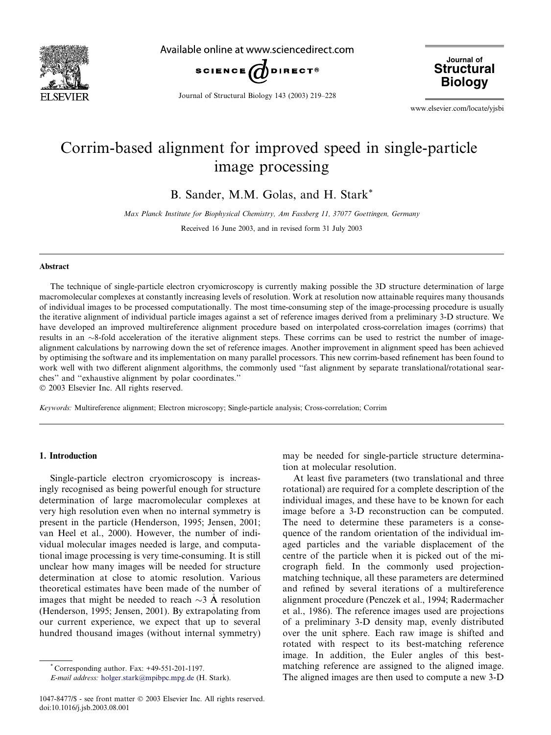

Available online at www.sciencedirect.com



Journal of Structural **Biology** 

Journal of Structural Biology 143 (2003) 219–228

www.elsevier.com/locate/yjsbi

# Corrim-based alignment for improved speed in single-particle image processing

B. Sander, M.M. Golas, and H. Stark\*

Max Planck Institute for Biophysical Chemistry, Am Fassberg 11, 37077 Goettingen, Germany

Received 16 June 2003, and in revised form 31 July 2003

#### Abstract

The technique of single-particle electron cryomicroscopy is currently making possible the 3D structure determination of large macromolecular complexes at constantly increasing levels of resolution. Work at resolution now attainable requires many thousands of individual images to be processed computationally. The most time-consuming step of the image-processing procedure is usually the iterative alignment of individual particle images against a set of reference images derived from a preliminary 3-D structure. We have developed an improved multireference alignment procedure based on interpolated cross-correlation images (corrims) that results in an  $\sim$ 8-fold acceleration of the iterative alignment steps. These corrims can be used to restrict the number of imagealignment calculations by narrowing down the set of reference images. Another improvement in alignment speed has been achieved by optimising the software and its implementation on many parallel processors. This new corrim-based refinement has been found to work well with two different alignment algorithms, the commonly used "fast alignment by separate translational/rotational searches'' and ''exhaustive alignment by polar coordinates.''

2003 Elsevier Inc. All rights reserved.

Keywords: Multireference alignment; Electron microscopy; Single-particle analysis; Cross-correlation; Corrim

## 1. Introduction

Single-particle electron cryomicroscopy is increasingly recognised as being powerful enough for structure determination of large macromolecular complexes at very high resolution even when no internal symmetry is present in the particle (Henderson, 1995; Jensen, 2001; van Heel et al., 2000). However, the number of individual molecular images needed is large, and computational image processing is very time-consuming. It is still unclear how many images will be needed for structure determination at close to atomic resolution. Various theoretical estimates have been made of the number of images that might be needed to reach  $\sim$ 3 A resolution (Henderson, 1995; Jensen, 2001). By extrapolating from our current experience, we expect that up to several hundred thousand images (without internal symmetry)

may be needed for single-particle structure determination at molecular resolution.

At least five parameters (two translational and three rotational) are required for a complete description of the individual images, and these have to be known for each image before a 3-D reconstruction can be computed. The need to determine these parameters is a consequence of the random orientation of the individual imaged particles and the variable displacement of the centre of the particle when it is picked out of the micrograph field. In the commonly used projectionmatching technique, all these parameters are determined and refined by several iterations of a multireference alignment procedure (Penczek et al., 1994; Radermacher et al., 1986). The reference images used are projections of a preliminary 3-D density map, evenly distributed over the unit sphere. Each raw image is shifted and rotated with respect to its best-matching reference image. In addition, the Euler angles of this bestmatching reference are assigned to the aligned image. The aligned images are then used to compute a new 3-D

<sup>\*</sup> Corresponding author. Fax: +49-551-201-1197.

E-mail address: [holger.stark@mpibpc.mpg.de](mail to: holger.stark@mpibpc.mpg.de) (H. Stark).

<sup>1047-8477/\$ -</sup> see front matter © 2003 Elsevier Inc. All rights reserved. doi:10.1016/j.jsb.2003.08.001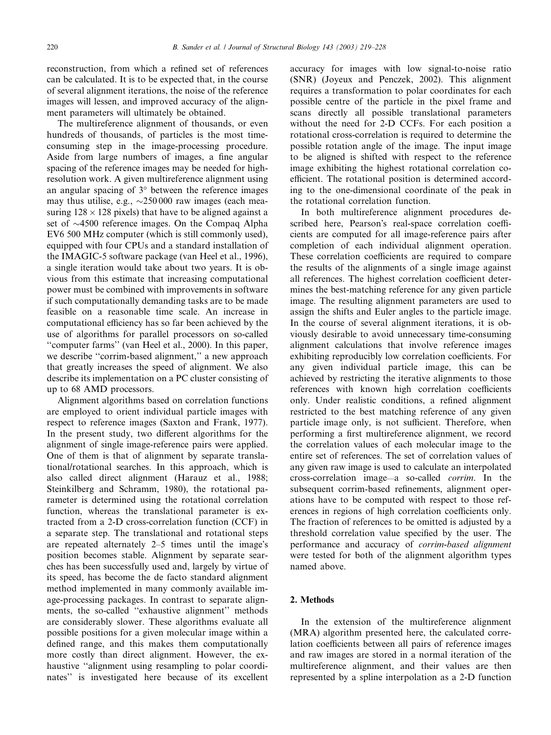reconstruction, from which a refined set of references can be calculated. It is to be expected that, in the course of several alignment iterations, the noise of the reference images will lessen, and improved accuracy of the alignment parameters will ultimately be obtained.

The multireference alignment of thousands, or even hundreds of thousands, of particles is the most timeconsuming step in the image-processing procedure. Aside from large numbers of images, a fine angular spacing of the reference images may be needed for highresolution work. A given multireference alignment using an angular spacing of  $3^{\circ}$  between the reference images may thus utilise, e.g.,  $\sim$ 250 000 raw images (each measuring  $128 \times 128$  pixels) that have to be aligned against a set of  $\sim$ 4500 reference images. On the Compaq Alpha EV6 500 MHz computer (which is still commonly used), equipped with four CPUs and a standard installation of the IMAGIC-5 software package (van Heel et al., 1996), a single iteration would take about two years. It is obvious from this estimate that increasing computational power must be combined with improvements in software if such computationally demanding tasks are to be made feasible on a reasonable time scale. An increase in computational efficiency has so far been achieved by the use of algorithms for parallel processors on so-called ''computer farms'' (van Heel et al., 2000). In this paper, we describe ''corrim-based alignment,'' a new approach that greatly increases the speed of alignment. We also describe its implementation on a PC cluster consisting of up to 68 AMD processors.

Alignment algorithms based on correlation functions are employed to orient individual particle images with respect to reference images (Saxton and Frank, 1977). In the present study, two different algorithms for the alignment of single image-reference pairs were applied. One of them is that of alignment by separate translational/rotational searches. In this approach, which is also called direct alignment (Harauz et al., 1988; Steinkilberg and Schramm, 1980), the rotational parameter is determined using the rotational correlation function, whereas the translational parameter is extracted from a 2-D cross-correlation function (CCF) in a separate step. The translational and rotational steps are repeated alternately  $2-5$  times until the image's position becomes stable. Alignment by separate searches has been successfully used and, largely by virtue of its speed, has become the de facto standard alignment method implemented in many commonly available image-processing packages. In contrast to separate alignments, the so-called ''exhaustive alignment'' methods are considerably slower. These algorithms evaluate all possible positions for a given molecular image within a defined range, and this makes them computationally more costly than direct alignment. However, the exhaustive "alignment using resampling to polar coordinates'' is investigated here because of its excellent

accuracy for images with low signal-to-noise ratio (SNR) (Joyeux and Penczek, 2002). This alignment requires a transformation to polar coordinates for each possible centre of the particle in the pixel frame and scans directly all possible translational parameters without the need for 2-D CCFs. For each position a rotational cross-correlation is required to determine the possible rotation angle of the image. The input image to be aligned is shifted with respect to the reference image exhibiting the highest rotational correlation coefficient. The rotational position is determined according to the one-dimensional coordinate of the peak in the rotational correlation function.

In both multireference alignment procedures described here, Pearson's real-space correlation coefficients are computed for all image-reference pairs after completion of each individual alignment operation. These correlation coefficients are required to compare the results of the alignments of a single image against all references. The highest correlation coefficient determines the best-matching reference for any given particle image. The resulting alignment parameters are used to assign the shifts and Euler angles to the particle image. In the course of several alignment iterations, it is obviously desirable to avoid unnecessary time-consuming alignment calculations that involve reference images exhibiting reproducibly low correlation coefficients. For any given individual particle image, this can be achieved by restricting the iterative alignments to those references with known high correlation coefficients only. Under realistic conditions, a refined alignment restricted to the best matching reference of any given particle image only, is not sufficient. Therefore, when performing a first multireference alignment, we record the correlation values of each molecular image to the entire set of references. The set of correlation values of any given raw image is used to calculate an interpolated cross-correlation image—a so-called corrim. In the subsequent corrim-based refinements, alignment operations have to be computed with respect to those references in regions of high correlation coefficients only. The fraction of references to be omitted is adjusted by a threshold correlation value specified by the user. The performance and accuracy of corrim-based alignment were tested for both of the alignment algorithm types named above.

# 2. Methods

In the extension of the multireference alignment (MRA) algorithm presented here, the calculated correlation coefficients between all pairs of reference images and raw images are stored in a normal iteration of the multireference alignment, and their values are then represented by a spline interpolation as a 2-D function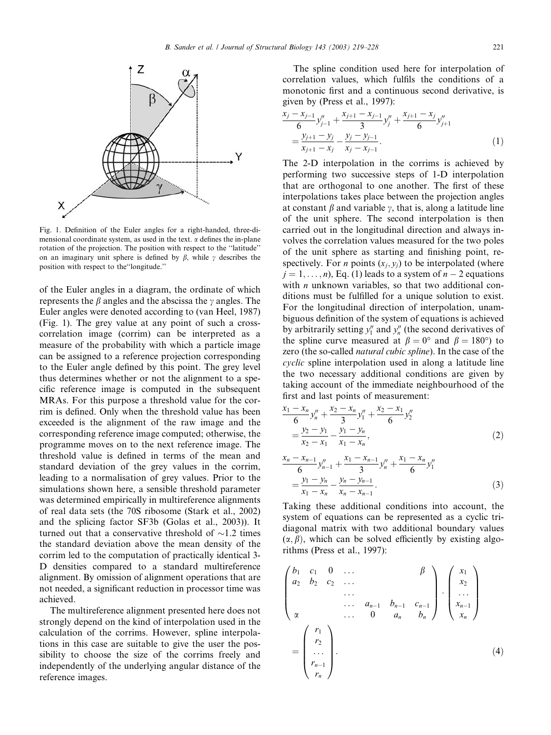

Fig. 1. Definition of the Euler angles for a right-handed, three-dimensional coordinate system, as used in the text.  $\alpha$  defines the in-plane rotation of the projection. The position with respect to the ''latitude'' on an imaginary unit sphere is defined by  $\beta$ , while  $\gamma$  describes the position with respect to the''longitude.''

of the Euler angles in a diagram, the ordinate of which represents the  $\beta$  angles and the abscissa the  $\gamma$  angles. The Euler angles were denoted according to (van Heel, 1987) (Fig. 1). The grey value at any point of such a crosscorrelation image (corrim) can be interpreted as a measure of the probability with which a particle image can be assigned to a reference projection corresponding to the Euler angle defined by this point. The grey level thus determines whether or not the alignment to a specific reference image is computed in the subsequent MRAs. For this purpose a threshold value for the corrim is defined. Only when the threshold value has been exceeded is the alignment of the raw image and the corresponding reference image computed; otherwise, the programme moves on to the next reference image. The threshold value is defined in terms of the mean and standard deviation of the grey values in the corrim, leading to a normalisation of grey values. Prior to the simulations shown here, a sensible threshold parameter was determined empirically in multireference alignments of real data sets (the 70S ribosome (Stark et al., 2002) and the splicing factor SF3b (Golas et al., 2003)). It turned out that a conservative threshold of  $\sim$ 1.2 times the standard deviation above the mean density of the corrim led to the computation of practically identical 3- D densities compared to a standard multireference alignment. By omission of alignment operations that are not needed, a significant reduction in processor time was achieved.

The multireference alignment presented here does not strongly depend on the kind of interpolation used in the calculation of the corrims. However, spline interpolations in this case are suitable to give the user the possibility to choose the size of the corrims freely and independently of the underlying angular distance of the reference images.

The spline condition used here for interpolation of correlation values, which fulfils the conditions of a monotonic first and a continuous second derivative, is given by (Press et al., 1997):

$$
\frac{x_j - x_{j-1}}{6} y''_{j-1} + \frac{x_{j+1} - x_{j-1}}{3} y''_j + \frac{x_{j+1} - x_j}{6} y''_{j+1}
$$
  
= 
$$
\frac{y_{j+1} - y_j}{x_{j+1} - x_j} - \frac{y_j - y_{j-1}}{x_j - x_{j-1}}.
$$
 (1)

The 2-D interpolation in the corrims is achieved by performing two successive steps of 1-D interpolation that are orthogonal to one another. The first of these interpolations takes place between the projection angles at constant  $\beta$  and variable  $\gamma$ , that is, along a latitude line of the unit sphere. The second interpolation is then carried out in the longitudinal direction and always involves the correlation values measured for the two poles of the unit sphere as starting and finishing point, respectively. For *n* points  $(x_i, y_j)$  to be interpolated (where  $j = 1, \ldots, n$ , Eq. (1) leads to a system of  $n - 2$  equations with  $n$  unknown variables, so that two additional conditions must be fulfilled for a unique solution to exist. For the longitudinal direction of interpolation, unambiguous definition of the system of equations is achieved by arbitrarily setting  $y_1''$  and  $y_n''$  (the second derivatives of the spline curve measured at  $\beta = 0^{\circ}$  and  $\beta = 180^{\circ}$ ) to zero (the so-called natural cubic spline). In the case of the cyclic spline interpolation used in along a latitude line the two necessary additional conditions are given by taking account of the immediate neighbourhood of the first and last points of measurement:

$$
\frac{x_1 - x_n}{6} y_n'' + \frac{x_2 - x_n}{3} y_1'' + \frac{x_2 - x_1}{6} y_2''
$$
  
= 
$$
\frac{y_2 - y_1}{x_2 - x_1} - \frac{y_1 - y_n}{x_1 - x_n},
$$
 (2)

$$
\frac{x_n - x_{n-1}}{6} y''_{n-1} + \frac{x_1 - x_{n-1}}{3} y''_n + \frac{x_1 - x_n}{6} y''_1
$$
  
= 
$$
\frac{y_1 - y_n}{x_1 - x_n} - \frac{y_n - y_{n-1}}{x_n - x_{n-1}}.
$$
 (3)

Taking these additional conditions into account, the system of equations can be represented as a cyclic tridiagonal matrix with two additional boundary values  $(\alpha, \beta)$ , which can be solved efficiently by existing algorithms (Press et al., 1997):

b<sup>1</sup> c<sup>1</sup> 0 ... b a<sup>2</sup> b<sup>2</sup> c<sup>2</sup> ... ... ... an<sup>1</sup> bn<sup>1</sup> cn<sup>1</sup> a ... 0 an bn 0 BBBB@ 1 CCCCA x1 x2 ... xn<sup>1</sup> xn 0 BBBB@ 1 CCCCA ¼ r1 r2 ... rn<sup>1</sup> rn 0 BBBB@ 1 CCCCA : ð4Þ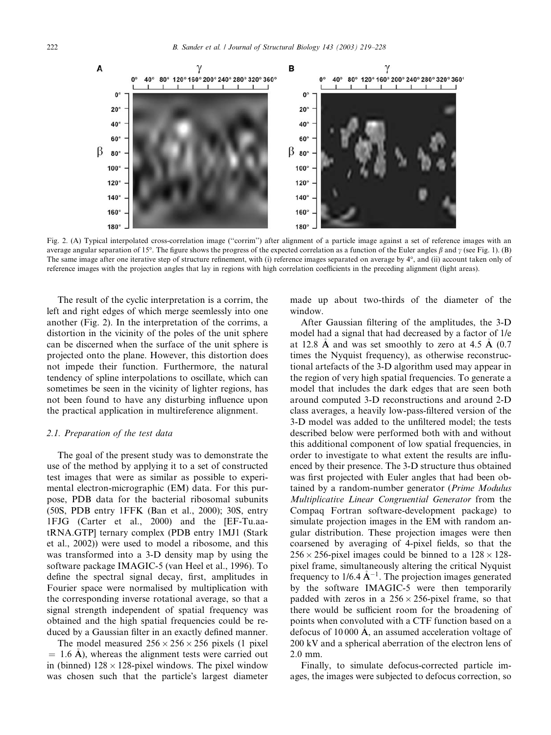

Fig. 2. (A) Typical interpolated cross-correlation image (''corrim'') after alignment of a particle image against a set of reference images with an average angular separation of 15°. The figure shows the progress of the expected correlation as a function of the Euler angles  $\beta$  and  $\gamma$  (see Fig. 1). (B) The same image after one iterative step of structure refinement, with (i) reference images separated on average by  $4^\circ$ , and (ii) account taken only of reference images with the projection angles that lay in regions with high correlation coefficients in the preceding alignment (light areas).

The result of the cyclic interpretation is a corrim, the left and right edges of which merge seemlessly into one another (Fig. 2). In the interpretation of the corrims, a distortion in the vicinity of the poles of the unit sphere can be discerned when the surface of the unit sphere is projected onto the plane. However, this distortion does not impede their function. Furthermore, the natural tendency of spline interpolations to oscillate, which can sometimes be seen in the vicinity of lighter regions, has not been found to have any disturbing influence upon the practical application in multireference alignment.

#### 2.1. Preparation of the test data

The goal of the present study was to demonstrate the use of the method by applying it to a set of constructed test images that were as similar as possible to experimental electron-micrographic (EM) data. For this purpose, PDB data for the bacterial ribosomal subunits (50S, PDB entry 1FFK (Ban et al., 2000); 30S, entry 1FJG (Carter et al., 2000) and the [EF-Tu.aatRNA.GTP] ternary complex (PDB entry 1MJ1 (Stark et al., 2002)) were used to model a ribosome, and this was transformed into a 3-D density map by using the software package IMAGIC-5 (van Heel et al., 1996). To define the spectral signal decay, first, amplitudes in Fourier space were normalised by multiplication with the corresponding inverse rotational average, so that a signal strength independent of spatial frequency was obtained and the high spatial frequencies could be reduced by a Gaussian filter in an exactly defined manner.

The model measured  $256 \times 256 \times 256$  pixels (1 pixel  $= 1.6$  A), whereas the alignment tests were carried out in (binned)  $128 \times 128$ -pixel windows. The pixel window was chosen such that the particle's largest diameter made up about two-thirds of the diameter of the window.

After Gaussian filtering of the amplitudes, the 3-D model had a signal that had decreased by a factor of 1/e at 12.8 A and was set smoothly to zero at 4.5 A  $(0.7)$ times the Nyquist frequency), as otherwise reconstructional artefacts of the 3-D algorithm used may appear in the region of very high spatial frequencies. To generate a model that includes the dark edges that are seen both around computed 3-D reconstructions and around 2-D class averages, a heavily low-pass-filtered version of the 3-D model was added to the unfiltered model; the tests described below were performed both with and without this additional component of low spatial frequencies, in order to investigate to what extent the results are influenced by their presence. The 3-D structure thus obtained was first projected with Euler angles that had been obtained by a random-number generator (Prime Modulus Multiplicative Linear Congruential Generator from the Compaq Fortran software-development package) to simulate projection images in the EM with random angular distribution. These projection images were then coarsened by averaging of 4-pixel fields, so that the  $256 \times 256$ -pixel images could be binned to a  $128 \times 128$ pixel frame, simultaneously altering the critical Nyquist frequency to  $1/6.4$   $\rm \AA^{-1}$ . The projection images generated by the software IMAGIC-5 were then temporarily padded with zeros in a  $256 \times 256$ -pixel frame, so that there would be sufficient room for the broadening of points when convoluted with a CTF function based on a defocus of  $10000 \text{ Å}$ , an assumed acceleration voltage of 200 kV and a spherical aberration of the electron lens of 2.0 mm.

Finally, to simulate defocus-corrected particle images, the images were subjected to defocus correction, so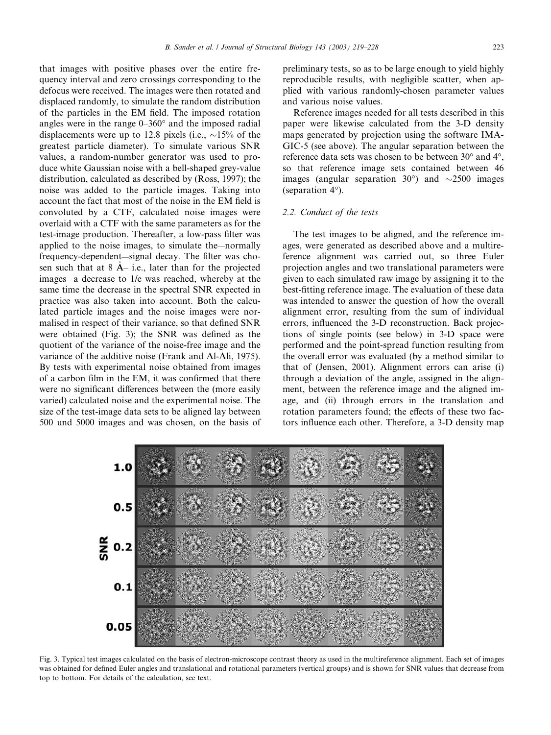that images with positive phases over the entire frequency interval and zero crossings corresponding to the defocus were received. The images were then rotated and displaced randomly, to simulate the random distribution of the particles in the EM field. The imposed rotation angles were in the range  $0-360^\circ$  and the imposed radial displacements were up to 12.8 pixels (i.e.,  $\sim$ 15% of the greatest particle diameter). To simulate various SNR values, a random-number generator was used to produce white Gaussian noise with a bell-shaped grey-value distribution, calculated as described by (Ross, 1997); the noise was added to the particle images. Taking into account the fact that most of the noise in the EM field is convoluted by a CTF, calculated noise images were overlaid with a CTF with the same parameters as for the test-image production. Thereafter, a low-pass filter was applied to the noise images, to simulate the—normally frequency-dependent—signal decay. The filter was chosen such that at  $8$   $\AA$ – i.e., later than for the projected images—a decrease to 1/e was reached, whereby at the same time the decrease in the spectral SNR expected in practice was also taken into account. Both the calculated particle images and the noise images were normalised in respect of their variance, so that defined SNR were obtained (Fig. 3); the SNR was defined as the quotient of the variance of the noise-free image and the variance of the additive noise (Frank and Al-Ali, 1975). By tests with experimental noise obtained from images of a carbon film in the EM, it was confirmed that there were no significant differences between the (more easily varied) calculated noise and the experimental noise. The size of the test-image data sets to be aligned lay between 500 und 5000 images and was chosen, on the basis of preliminary tests, so as to be large enough to yield highly reproducible results, with negligible scatter, when applied with various randomly-chosen parameter values and various noise values.

Reference images needed for all tests described in this paper were likewise calculated from the 3-D density maps generated by projection using the software IMA-GIC-5 (see above). The angular separation between the reference data sets was chosen to be between  $30^{\circ}$  and  $4^{\circ}$ , so that reference image sets contained between 46 images (angular separation 30 $^{\circ}$ ) and  $\sim$ 2500 images (separation  $4^{\circ}$ ).

### 2.2. Conduct of the tests

The test images to be aligned, and the reference images, were generated as described above and a multireference alignment was carried out, so three Euler projection angles and two translational parameters were given to each simulated raw image by assigning it to the best-fitting reference image. The evaluation of these data was intended to answer the question of how the overall alignment error, resulting from the sum of individual errors, influenced the 3-D reconstruction. Back projections of single points (see below) in 3-D space were performed and the point-spread function resulting from the overall error was evaluated (by a method similar to that of (Jensen, 2001). Alignment errors can arise (i) through a deviation of the angle, assigned in the alignment, between the reference image and the aligned image, and (ii) through errors in the translation and rotation parameters found; the effects of these two factors influence each other. Therefore, a 3-D density map



Fig. 3. Typical test images calculated on the basis of electron-microscope contrast theory as used in the multireference alignment. Each set of images was obtained for defined Euler angles and translational and rotational parameters (vertical groups) and is shown for SNR values that decrease from top to bottom. For details of the calculation, see text.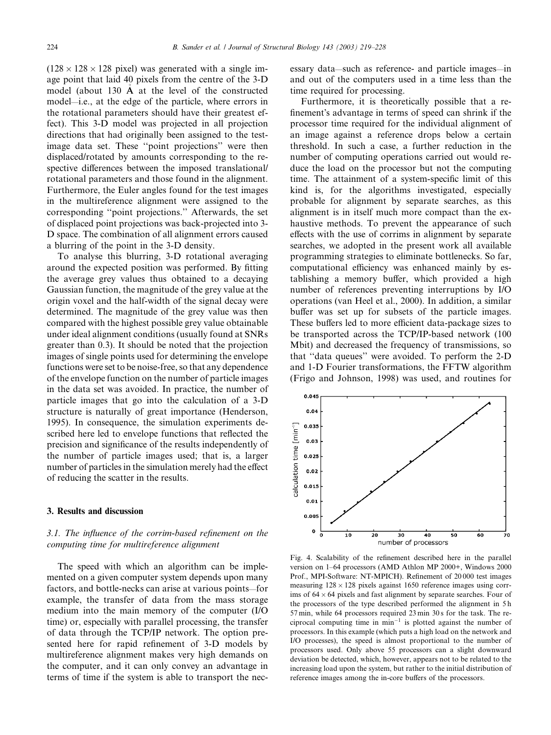$(128 \times 128 \times 128)$  pixel) was generated with a single image point that laid 40 pixels from the centre of the 3-D model (about 130 A at the level of the constructed model—i.e., at the edge of the particle, where errors in the rotational parameters should have their greatest effect). This 3-D model was projected in all projection directions that had originally been assigned to the testimage data set. These ''point projections'' were then displaced/rotated by amounts corresponding to the respective differences between the imposed translational/ rotational parameters and those found in the alignment. Furthermore, the Euler angles found for the test images in the multireference alignment were assigned to the corresponding ''point projections.'' Afterwards, the set of displaced point projections was back-projected into 3- D space. The combination of all alignment errors caused a blurring of the point in the 3-D density.

To analyse this blurring, 3-D rotational averaging around the expected position was performed. By fitting the average grey values thus obtained to a decaying Gaussian function, the magnitude of the grey value at the origin voxel and the half-width of the signal decay were determined. The magnitude of the grey value was then compared with the highest possible grey value obtainable under ideal alignment conditions (usually found at SNRs greater than 0.3). It should be noted that the projection images of single points used for determining the envelope functions were set to be noise-free, so that any dependence of the envelope function on the number of particle images in the data set was avoided. In practice, the number of particle images that go into the calculation of a 3-D structure is naturally of great importance (Henderson, 1995). In consequence, the simulation experiments described here led to envelope functions that reflected the precision and significance of the results independently of the number of particle images used; that is, a larger number of particles in the simulation merely had the effect of reducing the scatter in the results.

### 3. Results and discussion

# 3.1. The influence of the corrim-based refinement on the computing time for multireference alignment

The speed with which an algorithm can be implemented on a given computer system depends upon many factors, and bottle-necks can arise at various points—for example, the transfer of data from the mass storage medium into the main memory of the computer (I/O time) or, especially with parallel processing, the transfer of data through the TCP/IP network. The option presented here for rapid refinement of 3-D models by multireference alignment makes very high demands on the computer, and it can only convey an advantage in terms of time if the system is able to transport the necessary data—such as reference- and particle images—in and out of the computers used in a time less than the time required for processing.

Furthermore, it is theoretically possible that a refinement's advantage in terms of speed can shrink if the processor time required for the individual alignment of an image against a reference drops below a certain threshold. In such a case, a further reduction in the number of computing operations carried out would reduce the load on the processor but not the computing time. The attainment of a system-specific limit of this kind is, for the algorithms investigated, especially probable for alignment by separate searches, as this alignment is in itself much more compact than the exhaustive methods. To prevent the appearance of such effects with the use of corrims in alignment by separate searches, we adopted in the present work all available programming strategies to eliminate bottlenecks. So far, computational efficiency was enhanced mainly by establishing a memory buffer, which provided a high number of references preventing interruptions by I/O operations (van Heel et al., 2000). In addition, a similar buffer was set up for subsets of the particle images. These buffers led to more efficient data-package sizes to be transported across the TCP/IP-based network (100 Mbit) and decreased the frequency of transmissions, so that ''data queues'' were avoided. To perform the 2-D and 1-D Fourier transformations, the FFTW algorithm (Frigo and Johnson, 1998) was used, and routines for



Fig. 4. Scalability of the refinement described here in the parallel version on 1–64 processors (AMD Athlon MP 2000+, Windows 2000 Prof., MPI-Software: NT-MPICH). Refinement of 20 000 test images measuring  $128 \times 128$  pixels against 1650 reference images using corrims of  $64 \times 64$  pixels and fast alignment by separate searches. Four of the processors of the type described performed the alignment in 5 h 57 min, while 64 processors required 23 min 30 s for the task. The reciprocal computing time in  $min^{-1}$  is plotted against the number of processors. In this example (which puts a high load on the network and I/O processes), the speed is almost proportional to the number of processors used. Only above 55 processors can a slight downward deviation be detected, which, however, appears not to be related to the increasing load upon the system, but rather to the initial distribution of reference images among the in-core buffers of the processors.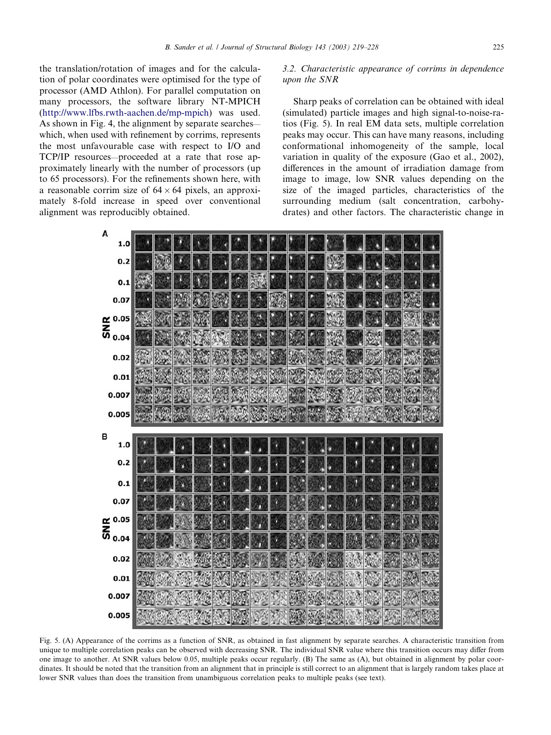the translation/rotation of images and for the calculation of polar coordinates were optimised for the type of processor (AMD Athlon). For parallel computation on many processors, the software library NT-MPICH ([http://www.lfbs.rwth-aachen.de/mp-mpich\)](http://www.lfbs.rwth-aachen.de/mp-mpich) was used. As shown in Fig. 4, the alignment by separate searches which, when used with refinement by corrims, represents the most unfavourable case with respect to I/O and TCP/IP resources—proceeded at a rate that rose approximately linearly with the number of processors (up to 65 processors). For the refinements shown here, with a reasonable corrim size of  $64 \times 64$  pixels, an approximately 8-fold increase in speed over conventional alignment was reproducibly obtained.

# 3.2. Characteristic appearance of corrims in dependence upon the SNR

Sharp peaks of correlation can be obtained with ideal (simulated) particle images and high signal-to-noise-ratios (Fig. 5). In real EM data sets, multiple correlation peaks may occur. This can have many reasons, including conformational inhomogeneity of the sample, local variation in quality of the exposure (Gao et al., 2002), differences in the amount of irradiation damage from image to image, low SNR values depending on the size of the imaged particles, characteristics of the surrounding medium (salt concentration, carbohydrates) and other factors. The characteristic change in



Fig. 5. (A) Appearance of the corrims as a function of SNR, as obtained in fast alignment by separate searches. A characteristic transition from unique to multiple correlation peaks can be observed with decreasing SNR. The individual SNR value where this transition occurs may differ from one image to another. At SNR values below 0.05, multiple peaks occur regularly. (B) The same as (A), but obtained in alignment by polar coordinates. It should be noted that the transition from an alignment that in principle is still correct to an alignment that is largely random takes place at lower SNR values than does the transition from unambiguous correlation peaks to multiple peaks (see text).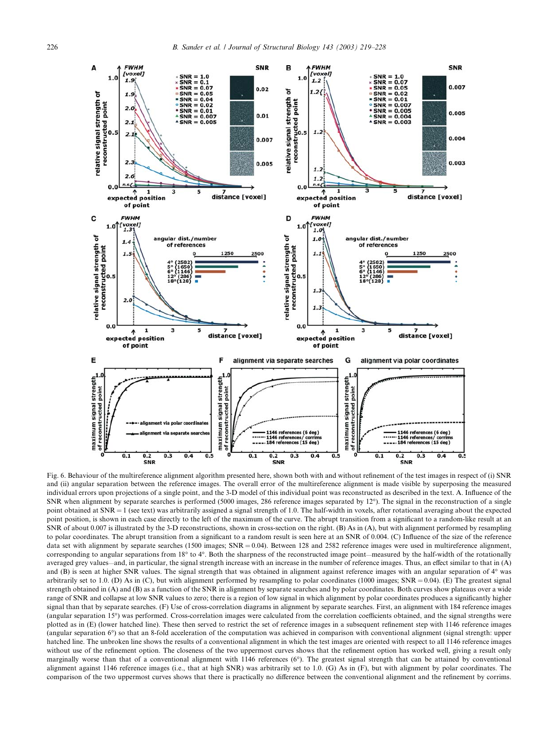

Fig. 6. Behaviour of the multireference alignment algorithm presented here, shown both with and without refinement of the test images in respect of (i) SNR and (ii) angular separation between the reference images. The overall error of the multireference alignment is made visible by superposing the measured individual errors upon projections of a single point, and the 3-D model of this individual point was reconstructed as described in the text. A. Influence of the SNR when alignment by separate searches is performed (5000 images, 286 reference images separated by 12°). The signal in the reconstruction of a single point obtained at  $SNR = 1$  (see text) was arbitrarily assigned a signal strength of 1.0. The half-width in voxels, after rotational averaging about the expected point position, is shown in each case directly to the left of the maximum of the curve. The abrupt transition from a significant to a random-like result at an SNR of about 0.007 is illustrated by the 3-D reconstructions, shown in cross-section on the right. (B) As in (A), but with alignment performed by resampling to polar coordinates. The abrupt transition from a significant to a random result is seen here at an SNR of 0.004. (C) Influence of the size of the reference data set with alignment by separate searches (1500 images;  $SNR = 0.04$ ). Between 128 and 2582 reference images were used in multireference alignment, corresponding to angular separations from 18° to 4°. Both the sharpness of the reconstructed image point—measured by the half-width of the rotationally averaged grey values—and, in particular, the signal strength increase with an increase in the number of reference images. Thus, an effect similar to that in (A) and (B) is seen at higher SNR values. The signal strength that was obtained in alignment against reference images with an angular separation of  $4^{\circ}$  was arbitrarily set to 1.0. (D) As in (C), but with alignment performed by resampling to polar coordinates (1000 images; SNR = 0.04). (E) The greatest signal strength obtained in (A) and (B) as a function of the SNR in alignment by separate searches and by polar coordinates. Both curves show plateaus over a wide range of SNR and collapse at low SNR values to zero; there is a region of low signal in which alignment by polar coordinates produces a significantly higher signal than that by separate searches. (F) Use of cross-correlation diagrams in alignment by separate searches. First, an alignment with 184 reference images (angular separation 15°) was performed. Cross-correlation images were calculated from the correlation coefficients obtained, and the signal strengths were plotted as in (E) (lower hatched line). These then served to restrict the set of reference images in a subsequent refinement step with 1146 reference images (angular separation 6°) so that an 8-fold acceleration of the computation was achieved in comparison with conventional alignment (signal strength: upper hatched line. The unbroken line shows the results of a conventional alignment in which the test images are oriented with respect to all 1146 reference images without use of the refinement option. The closeness of the two uppermost curves shows that the refinement option has worked well, giving a result only marginally worse than that of a conventional alignment with 1146 references (6°). The greatest signal strength that can be attained by conventional alignment against 1146 reference images (i.e., that at high SNR) was arbitrarily set to 1.0. (G) As in (F), but with alignment by polar coordinates. The comparison of the two uppermost curves shows that there is practically no difference between the conventional alignment and the refinement by corrims.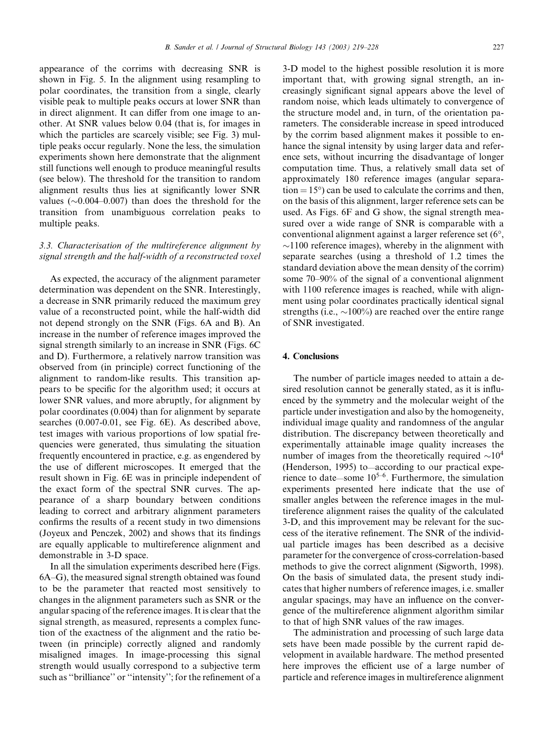appearance of the corrims with decreasing SNR is shown in Fig. 5. In the alignment using resampling to polar coordinates, the transition from a single, clearly visible peak to multiple peaks occurs at lower SNR than in direct alignment. It can differ from one image to another. At SNR values below 0.04 (that is, for images in which the particles are scarcely visible; see Fig. 3) multiple peaks occur regularly. None the less, the simulation experiments shown here demonstrate that the alignment still functions well enough to produce meaningful results (see below). The threshold for the transition to random alignment results thus lies at significantly lower SNR values  $(\sim 0.004 - 0.007)$  than does the threshold for the transition from unambiguous correlation peaks to multiple peaks.

# 3.3. Characterisation of the multireference alignment by signal strength and the half-width of a reconstructed voxel

As expected, the accuracy of the alignment parameter determination was dependent on the SNR. Interestingly, a decrease in SNR primarily reduced the maximum grey value of a reconstructed point, while the half-width did not depend strongly on the SNR (Figs. 6A and B). An increase in the number of reference images improved the signal strength similarly to an increase in SNR (Figs. 6C and D). Furthermore, a relatively narrow transition was observed from (in principle) correct functioning of the alignment to random-like results. This transition appears to be specific for the algorithm used; it occurs at lower SNR values, and more abruptly, for alignment by polar coordinates (0.004) than for alignment by separate searches (0.007-0.01, see Fig. 6E). As described above, test images with various proportions of low spatial frequencies were generated, thus simulating the situation frequently encountered in practice, e.g. as engendered by the use of different microscopes. It emerged that the result shown in Fig. 6E was in principle independent of the exact form of the spectral SNR curves. The appearance of a sharp boundary between conditions leading to correct and arbitrary alignment parameters confirms the results of a recent study in two dimensions (Joyeux and Penczek, 2002) and shows that its findings are equally applicable to multireference alignment and demonstrable in 3-D space.

In all the simulation experiments described here (Figs. 6A–G), the measured signal strength obtained was found to be the parameter that reacted most sensitively to changes in the alignment parameters such as SNR or the angular spacing of the reference images. It is clear that the signal strength, as measured, represents a complex function of the exactness of the alignment and the ratio between (in principle) correctly aligned and randomly misaligned images. In image-processing this signal strength would usually correspond to a subjective term such as ''brilliance'' or ''intensity''; for the refinement of a

3-D model to the highest possible resolution it is more important that, with growing signal strength, an increasingly significant signal appears above the level of random noise, which leads ultimately to convergence of the structure model and, in turn, of the orientation parameters. The considerable increase in speed introduced by the corrim based alignment makes it possible to enhance the signal intensity by using larger data and reference sets, without incurring the disadvantage of longer computation time. Thus, a relatively small data set of approximately 180 reference images (angular separa- $\tau$  tion = 15 $\degree$ ) can be used to calculate the corrims and then, on the basis of this alignment, larger reference sets can be used. As Figs. 6F and G show, the signal strength measured over a wide range of SNR is comparable with a conventional alignment against a larger reference set (6°,  $\sim$ 1100 reference images), whereby in the alignment with separate searches (using a threshold of 1.2 times the standard deviation above the mean density of the corrim) some 70–90% of the signal of a conventional alignment with 1100 reference images is reached, while with alignment using polar coordinates practically identical signal strengths (i.e.,  $\sim$ 100%) are reached over the entire range of SNR investigated.

### 4. Conclusions

The number of particle images needed to attain a desired resolution cannot be generally stated, as it is influenced by the symmetry and the molecular weight of the particle under investigation and also by the homogeneity, individual image quality and randomness of the angular distribution. The discrepancy between theoretically and experimentally attainable image quality increases the number of images from the theoretically required  $\sim 10^4$ (Henderson, 1995) to—according to our practical experience to date—some 10<sup>5</sup>*–*6. Furthermore, the simulation experiments presented here indicate that the use of smaller angles between the reference images in the multireference alignment raises the quality of the calculated 3-D, and this improvement may be relevant for the success of the iterative refinement. The SNR of the individual particle images has been described as a decisive parameter for the convergence of cross-correlation-based methods to give the correct alignment (Sigworth, 1998). On the basis of simulated data, the present study indicates that higher numbers of reference images, i.e. smaller angular spacings, may have an influence on the convergence of the multireference alignment algorithm similar to that of high SNR values of the raw images.

The administration and processing of such large data sets have been made possible by the current rapid development in available hardware. The method presented here improves the efficient use of a large number of particle and reference images in multireference alignment